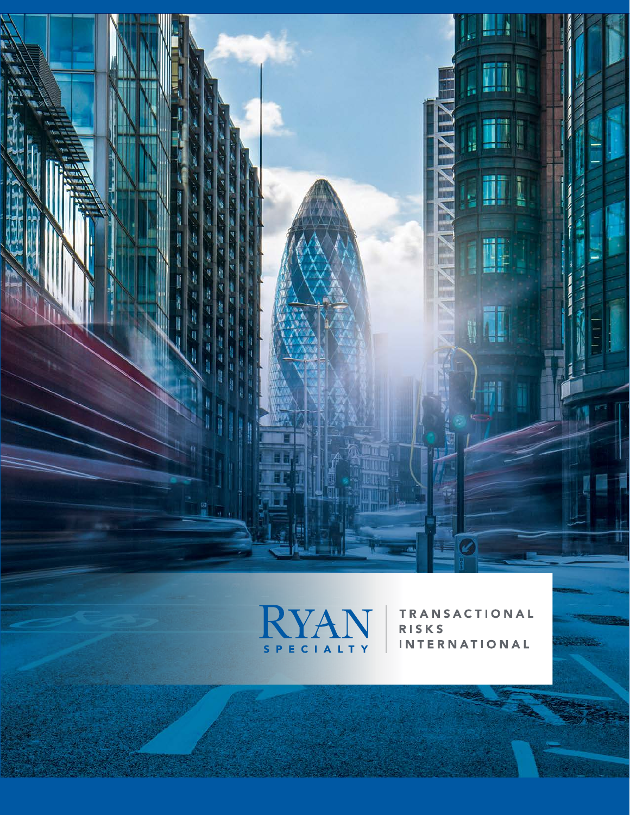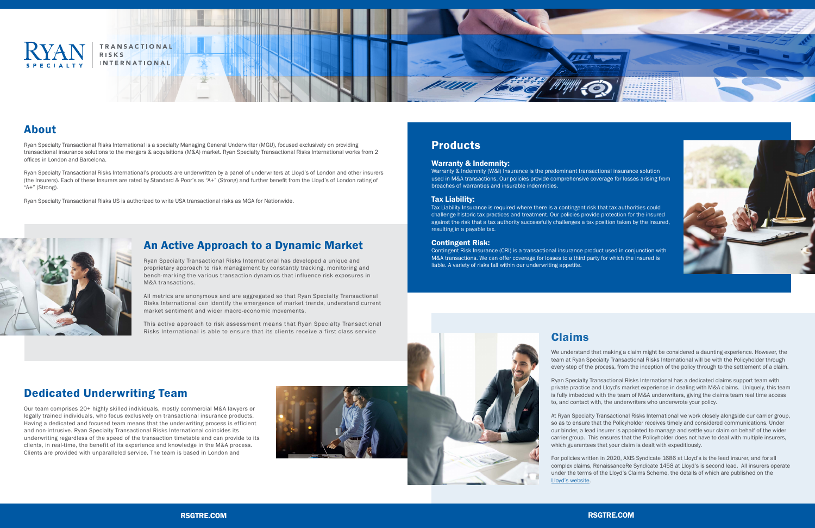

TRANSACTIONAL **RISKS INTERNATIONAL** 

## Products

#### Warranty & Indemnity:

Warranty & Indemnity (W&I) Insurance is the predominant transactional insurance solution used in M&A transactions. Our policies provide comprehensive coverage for losses arising from breaches of warranties and insurable indemnities.

#### Tax Liability:

Tax Liability Insurance is required where there is a contingent risk that tax authorities could challenge historic tax practices and treatment. Our policies provide protection for the insured against the risk that a tax authority successfully challenges a tax position taken by the insured, resulting in a payable tax.

#### Contingent Risk:

This active approach to risk assessment means that Ryan Specialty Transactional Risks International is able to ensure that its clients receive a first class service Claims Claims

Contingent Risk Insurance (CRI) is a transactional insurance product used in conjunction with M&A transactions. We can offer coverage for losses to a third party for which the insured is liable. A variety of risks fall within our underwriting appetite.

### An Active Approach to a Dynamic Market

Ryan Specialty Transactional Risks International has developed a unique and proprietary approach to risk management by constantly tracking, monitoring and bench-marking the various transaction dynamics that influence risk exposures in M&A transactions.

All metrics are anonymous and are aggregated so that Ryan Specialty Transactional Risks International can identify the emergence of market trends, understand current market sentiment and wider macro-economic movements.

> We understand that making a claim might be considered a daunting experience. However, the team at Ryan Specialty Transactional Risks International will be with the Policyholder through every step of the process, from the inception of the policy through to the settlement of a claim.

> Ryan Specialty Transactional Risks International has a dedicated claims support team with private practice and Lloyd's market experience in dealing with M&A claims. Uniquely, this team is fully imbedded with the team of M&A underwriters, giving the claims team real time access to, and contact with, the underwriters who underwrote your policy.

At Ryan Specialty Transactional Risks International we work closely alongside our carrier group, so as to ensure that the Policyholder receives timely and considered communications. Under our binder, a lead insurer is appointed to manage and settle your claim on behalf of the wider carrier group. This ensures that the Policyholder does not have to deal with multiple insurers, which guarantees that your claim is dealt with expeditiously.

For policies written in 2020, AXIS Syndicate 1686 at Lloyd's is the lead insurer, and for all complex claims, RenaissanceRe Syndicate 1458 at Lloyd's is second lead. All insurers operate under the terms of the Lloyd's Claims Scheme, the details of which are published on the [Lloyd's website](https://www.lloyds.com/market-resources/claims/lloyds-claims-scheme).





# Dedicated Underwriting Team

Our team comprises 20+ highly skilled individuals, mostly commercial M&A lawyers or legally trained individuals, who focus exclusively on transactional insurance products. Having a dedicated and focused team means that the underwriting process is efficient and non-intrusive. Ryan Specialty Transactional Risks International coincides its underwriting regardless of the speed of the transaction timetable and can provide to its clients, in real-time, the benefit of its experience and knowledge in the M&A process. Clients are provided with unparalleled service. The team is based in London and



## About

Ryan Specialty Transactional Risks International is a specialty Managing General Underwriter (MGU), focused exclusively on providing transactional insurance solutions to the mergers & acquisitions (M&A) market. Ryan Specialty Transactional Risks International works from 2 offices in London and Barcelona.

Ryan Specialty Transactional Risks International's products are underwritten by a panel of underwriters at Lloyd's of London and other insurers (the Insurers). Each of these Insurers are rated by Standard & Poor's as "A+" (Strong) and further benefit from the Lloyd's of London rating of "A+" (Strong).

Ryan Specialty Transactional Risks US is authorized to write USA transactional risks as MGA for Nationwide.